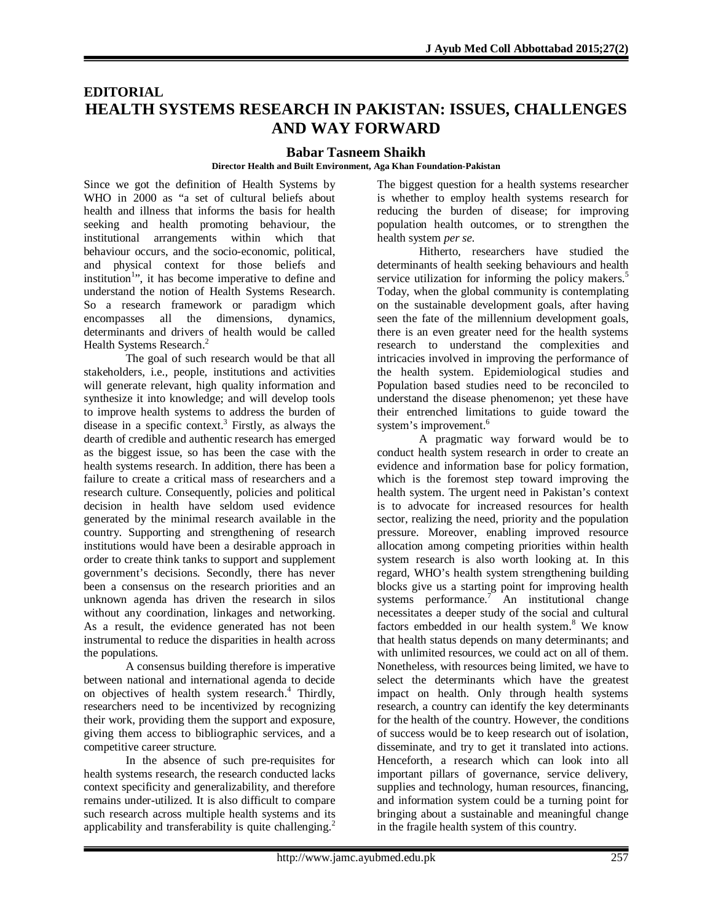# **EDITORIAL HEALTH SYSTEMS RESEARCH IN PAKISTAN: ISSUES, CHALLENGES AND WAY FORWARD**

## **Babar Tasneem Shaikh**

#### **Director Health and Built Environment, Aga Khan Foundation-Pakistan**

Since we got the definition of Health Systems by WHO in 2000 as "a set of cultural beliefs about health and illness that informs the basis for health seeking and health promoting behaviour, the institutional arrangements within which that behaviour occurs, and the socio-economic, political, and physical context for those beliefs and institution<sup>1</sup>", it has become imperative to define and understand the notion of Health Systems Research. So a research framework or paradigm which encompasses all the dimensions, dynamics, determinants and drivers of health would be called Health Systems Research.<sup>2</sup>

The goal of such research would be that all stakeholders, i.e., people, institutions and activities will generate relevant, high quality information and synthesize it into knowledge; and will develop tools to improve health systems to address the burden of disease in a specific context. 3 Firstly, as always the dearth of credible and authentic research has emerged as the biggest issue, so has been the case with the health systems research. In addition, there has been a failure to create a critical mass of researchers and a research culture. Consequently, policies and political decision in health have seldom used evidence generated by the minimal research available in the country. Supporting and strengthening of research institutions would have been a desirable approach in order to create think tanks to support and supplement government's decisions. Secondly, there has never been a consensus on the research priorities and an unknown agenda has driven the research in silos without any coordination, linkages and networking. As a result, the evidence generated has not been instrumental to reduce the disparities in health across the populations.

A consensus building therefore is imperative between national and international agenda to decide on objectives of health system research. 4 Thirdly, researchers need to be incentivized by recognizing their work, providing them the support and exposure, giving them access to bibliographic services, and a competitive career structure.

In the absence of such pre-requisites for health systems research, the research conducted lacks context specificity and generalizability, and therefore remains under-utilized. It is also difficult to compare such research across multiple health systems and its applicability and transferability is quite challenging.<sup>2</sup>

The biggest question for a health systems researcher is whether to employ health systems research for reducing the burden of disease; for improving population health outcomes, or to strengthen the health system *per se*.

Hitherto, researchers have studied the determinants of health seeking behaviours and health service utilization for informing the policy makers.<sup>5</sup> Today, when the global community is contemplating on the sustainable development goals, after having seen the fate of the millennium development goals, there is an even greater need for the health systems research to understand the complexities and intricacies involved in improving the performance of the health system. Epidemiological studies and Population based studies need to be reconciled to understand the disease phenomenon; yet these have their entrenched limitations to guide toward the system's improvement.<sup>6</sup>

A pragmatic way forward would be to conduct health system research in order to create an evidence and information base for policy formation, which is the foremost step toward improving the health system. The urgent need in Pakistan's context is to advocate for increased resources for health sector, realizing the need, priority and the population pressure. Moreover, enabling improved resource allocation among competing priorities within health system research is also worth looking at. In this regard, WHO's health system strengthening building blocks give us a starting point for improving health systems performance.<sup>7</sup> An institutional change necessitates a deeper study of the social and cultural factors embedded in our health system. <sup>8</sup> We know that health status depends on many determinants; and with unlimited resources, we could act on all of them. Nonetheless, with resources being limited, we have to select the determinants which have the greatest impact on health. Only through health systems research, a country can identify the key determinants for the health of the country. However, the conditions of success would be to keep research out of isolation, disseminate, and try to get it translated into actions. Henceforth, a research which can look into all important pillars of governance, service delivery, supplies and technology, human resources, financing, and information system could be a turning point for bringing about a sustainable and meaningful change in the fragile health system of this country.